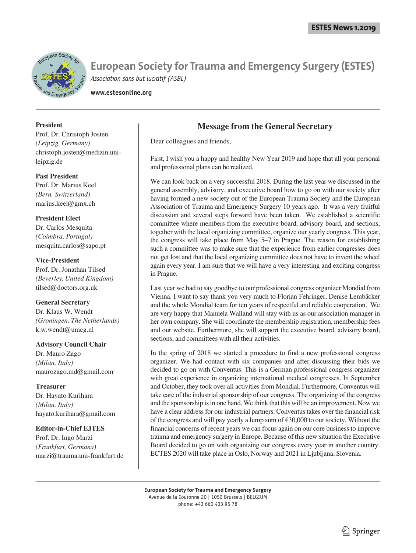

**www.estesonline.org**

### **President**

Prof. Dr. Christoph Josten *(Leipzig, Germany)* christoph.josten@medizin.unileipzig.de

### **Past President**

Prof. Dr. Marius Keel *(Bern, Switzerland)* marius.keel@gmx.ch

### **President Elect**

Dr. Carlos Mesquita *(Coimbra, Portugal)* mesquita.carlos@sapo.pt

### **Vice-President**

Prof. Dr. Jonathan Tilsed *(Beverley, United Kingdom)* tilsed@doctors.org.uk

### **General Secretary**

Dr. Klaus W. Wendt *(Groningen, The Netherlands)* k.w.wendt@umcg.nl

### **Advisory Council Chair**

Dr. Mauro Zago *(Milan, Italy)* maurozago.md@gmail.com

### **Treasurer**

Dr. Hayato Kurihara *(Milan, Italy)* hayato.kurihara@gmail.com

### **Editor-in-Chief EJTES**

Prof. Dr. Ingo Marzi *(Frankfurt, Germany)* marzi@trauma.uni-frankfurt.de

# **Message from the General Secretary**

Dear colleagues and friends,

First, I wish you a happy and healthy New Year 2019 and hope that all your personal and professional plans can be realized.

We can look back on a very successful 2018. During the last year we discussed in the general assembly, advisory, and executive board how to go on with our society after having formed a new society out of the European Trauma Society and the European Association of Trauma and Emergency Surgery 10 years ago. It was a very fruitful discussion and several steps forward have been taken. We established a scientific committee where members from the executive board, advisory board, and sections, together with the local organizing committee, organize our yearly congress. This year, the congress will take place from May 5–7 in Prague. The reason for establishing such a committee was to make sure that the experience from earlier congresses does not get lost and that the local organizing committee does not have to invent the wheel again every year. I am sure that we will have a very interesting and exciting congress in Prague.

Last year we had to say goodbye to our professional congress organizer Mondial from Vienna. I want to say thank you very much to Florian Fehringer, Denise Lembäcker and the whole Mondial team for ten years of respectful and reliable cooperation. We are very happy that Manuela Walland will stay with us as our association manager in her own company. She will coordinate the membership registration, membership fees and our website. Furthermore, she will support the executive board, advisory board, sections, and committees with all their activities.

In the spring of 2018 we started a procedure to find a new professional congress organizer. We had contact with six companies and after discussing their bids we decided to go on with Conventus. This is a German professional congress organizer with great experience in organizing international medical congresses. In September and October, they took over all activities from Mondial. Furthermore, Conventus will take care of the industrial sponsorship of our congress. The organizing of the congress and the sponsorship is in one hand. We think that this will be an improvement. Now we have a clear address for our industrial partners. Conventus takes over the financial risk of the congress and will pay yearly a lump sum of  $\epsilon$ 30,000 to our society. Without the financial concerns of recent years we can focus again on our core business to improve trauma and emergency surgery in Europe. Because of this new situation the Executive Board decided to go on with organizing our congress every year in another country. ECTES 2020 will take place in Oslo, Norway and 2021 in Ljubljana, Slovenia.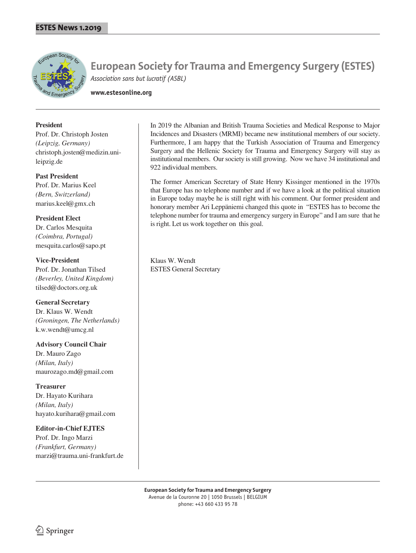

**www.estesonline.org**

### **President**

Prof. Dr. Christoph Josten *(Leipzig, Germany)* christoph.josten@medizin.unileipzig.de

### **Past President**

Prof. Dr. Marius Keel *(Bern, Switzerland)* marius.keel@gmx.ch

**President Elect** Dr. Carlos Mesquita *(Coimbra, Portugal)* mesquita.carlos@sapo.pt

**Vice-President** Prof. Dr. Jonathan Tilsed *(Beverley, United Kingdom)* tilsed@doctors.org.uk

**General Secretary** Dr. Klaus W. Wendt *(Groningen, The Netherlands)* k.w.wendt@umcg.nl

**Advisory Council Chair** Dr. Mauro Zago *(Milan, Italy)* maurozago.md@gmail.com

**Treasurer** Dr. Hayato Kurihara *(Milan, Italy)* hayato.kurihara@gmail.com

**Editor-in-Chief EJTES** Prof. Dr. Ingo Marzi *(Frankfurt, Germany)* marzi@trauma.uni-frankfurt.de In 2019 the Albanian and British Trauma Societies and Medical Response to Major Incidences and Disasters (MRMI) became new institutional members of our society. Furthermore, I am happy that the Turkish Association of Trauma and Emergency Surgery and the Hellenic Society for Trauma and Emergency Surgery will stay as institutional members. Our society is still growing. Now we have 34 institutional and 922 individual members.

The former American Secretary of State Henry Kissinger mentioned in the 1970s that Europe has no telephone number and if we have a look at the political situation in Europe today maybe he is still right with his comment. Our former president and honorary member Ari Leppäniemi changed this quote in "ESTES has to become the telephone number for trauma and emergency surgery in Europe" and I am sure that he is right. Let us work together on this goal.

Klaus W. Wendt ESTES General Secretary

 $\textcircled{2}$  Springer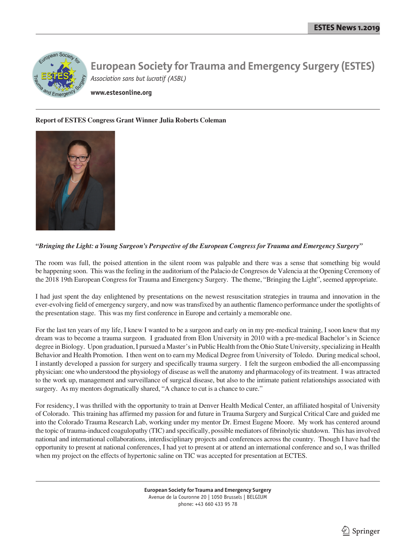

**www.estesonline.org**

### **Report of ESTES Congress Grant Winner Julia Roberts Coleman**



### *"Bringing the Light: a Young Surgeon's Perspective of the European Congress for Trauma and Emergency Surgery"*

The room was full, the poised attention in the silent room was palpable and there was a sense that something big would be happening soon. This was the feeling in the auditorium of the Palacio de Congresos de Valencia at the Opening Ceremony of the 2018 19th European Congress for Trauma and Emergency Surgery. The theme, "Bringing the Light", seemed appropriate.

I had just spent the day enlightened by presentations on the newest resuscitation strategies in trauma and innovation in the ever-evolving field of emergency surgery, and now was transfixed by an authentic flamenco performance under the spotlights of the presentation stage. This was my first conference in Europe and certainly a memorable one.

For the last ten years of my life, I knew I wanted to be a surgeon and early on in my pre-medical training, I soon knew that my dream was to become a trauma surgeon. I graduated from Elon University in 2010 with a pre-medical Bachelor's in Science degree in Biology. Upon graduation, I pursued a Master's in Public Health from the Ohio State University, specializing in Health Behavior and Health Promotion. I then went on to earn my Medical Degree from University of Toledo. During medical school, I instantly developed a passion for surgery and specifically trauma surgery. I felt the surgeon embodied the all-encompassing physician: one who understood the physiology of disease as well the anatomy and pharmacology of its treatment. I was attracted to the work up, management and surveillance of surgical disease, but also to the intimate patient relationships associated with surgery. As my mentors dogmatically shared, "A chance to cut is a chance to cure."

For residency, I was thrilled with the opportunity to train at Denver Health Medical Center, an affiliated hospital of University of Colorado. This training has affirmed my passion for and future in Trauma Surgery and Surgical Critical Care and guided me into the Colorado Trauma Research Lab, working under my mentor Dr. Ernest Eugene Moore. My work has centered around the topic of trauma-induced coagulopathy (TIC) and specifically, possible mediators of fibrinolytic shutdown. This has involved national and international collaborations, interdisciplinary projects and conferences across the country. Though I have had the opportunity to present at national conferences, I had yet to present at or attend an international conference and so, I was thrilled when my project on the effects of hypertonic saline on TIC was accepted for presentation at ECTES.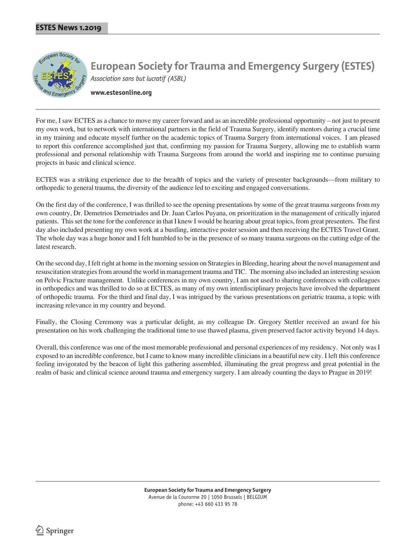

**www.estesonline.org**

For me, I saw ECTES as a chance to move my career forward and as an incredible professional opportunity – not just to present my own work, but to network with international partners in the field of Trauma Surgery, identify mentors during a crucial time in my training and educate myself further on the academic topics of Trauma Surgery from international voices. I am pleased to report this conference accomplished just that, confirming my passion for Trauma Surgery, allowing me to establish warm professional and personal relationship with Trauma Surgeons from around the world and inspiring me to continue pursuing projects in basic and clinical science.

ECTES was a striking experience due to the breadth of topics and the variety of presenter backgrounds—from military to orthopedic to general trauma, the diversity of the audience led to exciting and engaged conversations.

On the first day of the conference, I was thrilled to see the opening presentations by some of the great trauma surgeons from my own country, Dr. Demetrios Demetriades and Dr. Juan Carlos Puyana, on prioritization in the management of critically injured patients. This set the tone for the conference in that I knew I would be hearing about great topics, from great presenters. The first day also included presenting my own work at a bustling, interactive poster session and then receiving the ECTES Travel Grant. The whole day was a huge honor and I felt humbled to be in the presence of so many trauma surgeons on the cutting edge of the latest research.

On the second day, I felt right at home in the morning session on Strategies in Bleeding, hearing about the novel management and resuscitation strategies from around the world in management trauma and TIC. The morning also included an interesting session on Pelvic Fracture management. Unlike conferences in my own country, I am not used to sharing conferences with colleagues in orthopedics and was thrilled to do so at ECTES, as many of my own interdisciplinary projects have involved the department of orthopedic trauma. For the third and final day, I was intrigued by the various presentations on geriatric trauma, a topic with increasing relevance in my country and beyond.

Finally, the Closing Ceremony was a particular delight, as my colleague Dr. Gregory Stettler received an award for his presentation on his work challenging the traditional time to use thawed plasma, given preserved factor activity beyond 14 days.

Overall, this conference was one of the most memorable professional and personal experiences of my residency. Not only was I exposed to an incredible conference, but I came to know many incredible clinicians in a beautiful new city. I left this conference feeling invigorated by the beacon of light this gathering assembled, illuminating the great progress and great potential in the realm of basic and clinical science around trauma and emergency surgery. I am already counting the days to Prague in 2019!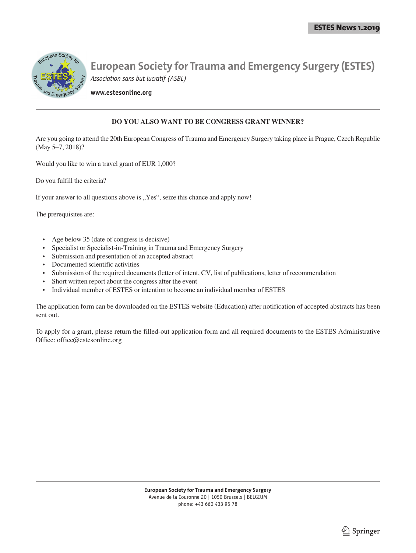

**www.estesonline.org**

## **DO YOU ALSO WANT TO BE CONGRESS GRANT WINNER?**

Are you going to attend the 20th European Congress of Trauma and Emergency Surgery taking place in Prague, Czech Republic (May 5–7, 2018)?

Would you like to win a travel grant of EUR 1,000?

Do you fulfill the criteria?

If your answer to all questions above is "Yes", seize this chance and apply now!

The prerequisites are:

- Age below 35 (date of congress is decisive)
- Specialist or Specialist-in-Training in Trauma and Emergency Surgery
- Submission and presentation of an accepted abstract
- Documented scientific activities
- Submission of the required documents (letter of intent, CV, list of publications, letter of recommendation
- Short written report about the congress after the event
- Individual member of ESTES or intention to become an individual member of ESTES

The application form can be downloaded on the ESTES website (Education) after notification of accepted abstracts has been sent out.

To apply for a grant, please return the filled-out application form and all required documents to the ESTES Administrative Office: office@estesonline.org